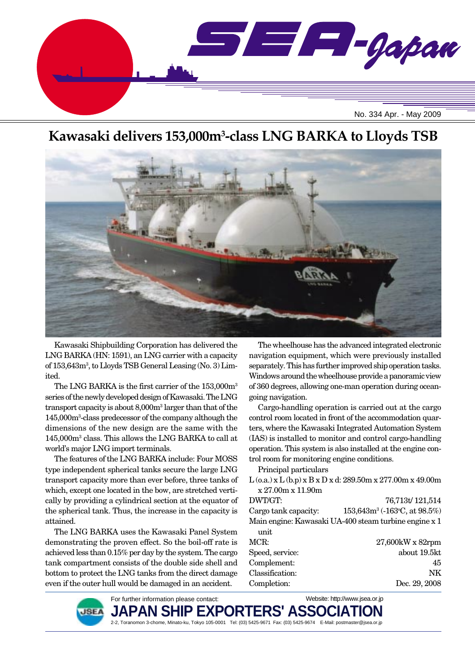

# **Kawasaki delivers 153,000m3 -class LNG BARKA to Lloyds TSB**



Kawasaki Shipbuilding Corporation has delivered the LNG BARKA (HN: 1591), an LNG carrier with a capacity of 153,643m3 , to Lloyds TSB General Leasing (No. 3) Limited.

The LNG BARKA is the first carrier of the 153,000m<sup>3</sup> series of the newly developed design of Kawasaki. The LNG transport capacity is about 8,000m3 larger than that of the 145,000m3 -class predecessor of the company although the dimensions of the new design are the same with the 145,000m3 class. This allows the LNG BARKA to call at world's major LNG import terminals.

The features of the LNG BARKA include: Four MOSS type independent spherical tanks secure the large LNG transport capacity more than ever before, three tanks of which, except one located in the bow, are stretched vertically by providing a cylindrical section at the equator of the spherical tank. Thus, the increase in the capacity is attained.

The LNG BARKA uses the Kawasaki Panel System demonstrating the proven effect. So the boil-off rate is achieved less than 0.15% per day by the system. The cargo tank compartment consists of the double side shell and bottom to protect the LNG tanks from the direct damage even if the outer hull would be damaged in an accident.

The wheelhouse has the advanced integrated electronic navigation equipment, which were previously installed separately. This has further improved ship operation tasks. Windows around the wheelhouse provide a panoramic view of 360 degrees, allowing one-man operation during oceangoing navigation.

Cargo-handling operation is carried out at the cargo control room located in front of the accommodation quarters, where the Kawasaki Integrated Automation System (IAS) is installed to monitor and control cargo-handling operation. This system is also installed at the engine control room for monitoring engine conditions.

Principal particulars

- $L$  (o.a.) x  $L$  (b.p) x  $B$  x  $D$  x d: 289.50m x 277.00m x 49.00m x 27.00m x 11.90m
- DWT/GT: 76,713t/ 121,514 Cargo tank capacity:  $(-163\degree C, \text{at } 98.5\%)$ Main engine: Kawasaki UA-400 steam turbine engine x 1

| unit            |                     |
|-----------------|---------------------|
| MCR:            | $27,600$ kW x 82rpm |
| Speed, service: | about 19.5kt        |
| Complement:     | 45                  |
| Classification: | NK.                 |
| Completion:     | Dec. 29, 2008       |

Website: http://www.jsea.or.jp



JAPAN SHIP EXPORTERS' ASSO 2-2, Toranomon 3-chome, Minato-ku, Tokyo 105-0001 Tel: (03) 5425-9671 Fax: (03) 5425-9674 E-Mail: postmaster@jsea.or.jp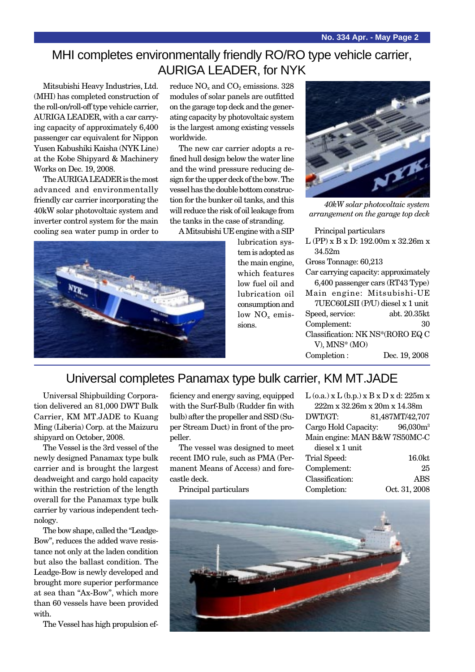## MHI completes environmentally friendly RO/RO type vehicle carrier, AURIGA LEADER, for NYK

Mitsubishi Heavy Industries, Ltd. (MHI) has completed construction of the roll-on/roll-off type vehicle carrier, AURIGA LEADER, with a car carrying capacity of approximately 6,400 passenger car equivalent for Nippon Yusen Kabushiki Kaisha (NYK Line) at the Kobe Shipyard & Machinery Works on Dec. 19, 2008.

The AURIGA LEADER is the most advanced and environmentally friendly car carrier incorporating the 40kW solar photovoltaic system and inverter control system for the main cooling sea water pump in order to reduce  $NO<sub>x</sub>$  and  $CO<sub>2</sub>$  emissions. 328 modules of solar panels are outfitted on the garage top deck and the generating capacity by photovoltaic system is the largest among existing vessels worldwide.

The new car carrier adopts a refined hull design below the water line and the wind pressure reducing design for the upper deck of the bow. The vessel has the double bottom construction for the bunker oil tanks, and this will reduce the risk of oil leakage from the tanks in the case of stranding.

A Mitsubishi UE engine with a SIP



lubrication system is adopted as the main engine, which features low fuel oil and lubrication oil consumption and low  $NO<sub>x</sub>$  emissions.



*40kW solar photovoltaic system arrangement on the garage top deck*

Principal particulars L (PP) x B x D: 192.00m x 32.26m x

34.52m Gross Tonnage: 60,213 Car carrying capacity: approximately 6,400 passenger cars (RT43 Type) Main engine: Mitsubishi-UE 7UEC60LSII (P/U) diesel x 1 unit

| Speed, service:                  | abt. 20.35kt  |
|----------------------------------|---------------|
| Complement:                      | 30            |
| Classification: NK NS*(RORO EQ C |               |
| V), $MNS^*(MO)$                  |               |
| Completion:                      | Dec. 19, 2008 |

## Universal completes Panamax type bulk carrier, KM MT.JADE

Universal Shipbuilding Corporation delivered an 81,000 DWT Bulk Carrier, KM MT.JADE to Kuang Ming (Liberia) Corp. at the Maizuru shipyard on October, 2008.

The Vessel is the 3rd vessel of the newly designed Panamax type bulk carrier and is brought the largest deadweight and cargo hold capacity within the restriction of the length overall for the Panamax type bulk carrier by various independent technology.

The bow shape, called the "Leadge-Bow", reduces the added wave resistance not only at the laden condition but also the ballast condition. The Leadge-Bow is newly developed and brought more superior performance at sea than "Ax-Bow", which more than 60 vessels have been provided with.

The Vessel has high propulsion ef-

ficiency and energy saving, equipped with the Surf-Bulb (Rudder fin with bulb) after the propeller and SSD (Super Stream Duct) in front of the propeller.

The vessel was designed to meet recent IMO rule, such as PMA (Permanent Means of Access) and forecastle deck.

Principal particulars

|                 | $L$ (o.a.) x $L$ (b.p.) x $B$ x $D$ x d: 225m x |
|-----------------|-------------------------------------------------|
|                 | 222m x 32.26m x 20m x 14.38m                    |
| DWT/GT:         | 81,487MT/42,707                                 |
|                 | Cargo Hold Capacity: 96,030m <sup>3</sup>       |
|                 | Main engine: MAN B&W 7S50MC-C                   |
| diesel x 1 unit |                                                 |
| Trial Speed:    | 16.0kt                                          |
| Complement:     | 25                                              |
| Classification: | <b>ABS</b>                                      |
| Completion:     | Oct. 31, 2008                                   |

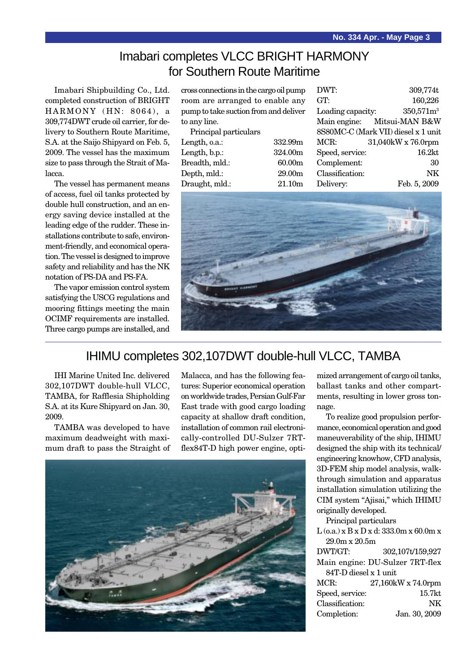## Imabari completes VLCC BRIGHT HARMONY for Southern Route Maritime

Imabari Shipbuilding Co., Ltd. completed construction of BRIGHT HARMONY (HN: 8064), a 309,774DWT crude oil carrier, for delivery to Southern Route Maritime, S.A. at the Saijo Shipyard on Feb. 5, 2009. The vessel has the maximum size to pass through the Strait of Malacca.

The vessel has permanent means of access, fuel oil tanks protected by double hull construction, and an energy saving device installed at the leading edge of the rudder. These installations contribute to safe, environment-friendly, and economical operation. The vessel is designed to improve safety and reliability and has the NK notation of PS-DA and PS-FA.

The vapor emission control system satisfying the USCG regulations and mooring fittings meeting the main OCIMF requirements are installed. Three cargo pumps are installed, and cross connections in the cargo oil pump room are arranged to enable any pump to take suction from and deliver to any line.

| Principal particulars |                    |
|-----------------------|--------------------|
| Length, o.a.:         | 332.99m            |
| Length, b.p.:         | 324.00m            |
| Breadth, mld.:        | 60.00m             |
| Depth, mld.:          | 29.00 <sub>m</sub> |
| Draught, mld.:        | 21.10m             |
|                       |                    |

| DWT:              | 309,774t                            |
|-------------------|-------------------------------------|
| GT:               | 160,226                             |
| Loading capacity: | 350,571m <sup>3</sup>               |
|                   | Main engine: Mitsui-MAN B&W         |
|                   | 8S80MC-C (Mark VII) diesel x 1 unit |
| MCR:              | 31,040kW x 76.0rpm                  |
| Speed, service:   | 16.2kt                              |
| Complement:       | 30                                  |
| Classification:   | NK                                  |
| Delivery:         | Feb. 5, 2009                        |



### IHIMU completes 302,107DWT double-hull VLCC, TAMBA

IHI Marine United Inc. delivered 302,107DWT double-hull VLCC, TAMBA, for Rafflesia Shipholding S.A. at its Kure Shipyard on Jan. 30, 2009.

TAMBA was developed to have maximum deadweight with maximum draft to pass the Straight of Malacca, and has the following features: Superior economical operation on worldwide trades, Persian Gulf-Far East trade with good cargo loading capacity at shallow draft condition, installation of common rail electronically-controlled DU-Sulzer 7RTflex84T-D high power engine, opti-



mized arrangement of cargo oil tanks, ballast tanks and other compartments, resulting in lower gross tonnage.

To realize good propulsion performance, economical operation and good maneuverability of the ship, IHIMU designed the ship with its technical/ engineering knowhow, CFD analysis, 3D-FEM ship model analysis, walkthrough simulation and apparatus installation simulation utilizing the CIM system "Ajisai," which IHIMU originally developed.

Principal particulars

| $L$ (o.a.) x $B$ x $D$ x d: 333.0m x 60.0m x |                    |  |
|----------------------------------------------|--------------------|--|
| 29.0m x 20.5m                                |                    |  |
| DWT/GT:                                      | 302,107t/159,927   |  |
| Main engine: DU-Sulzer 7RT-flex              |                    |  |
| 84T-D diesel x 1 unit                        |                    |  |
| MCR:                                         | 27,160kW x 74.0rpm |  |
| Speed, service:                              | 15.7 <sub>kt</sub> |  |
| Classification:                              | NK                 |  |
| Completion:                                  | Jan. 30, 2009      |  |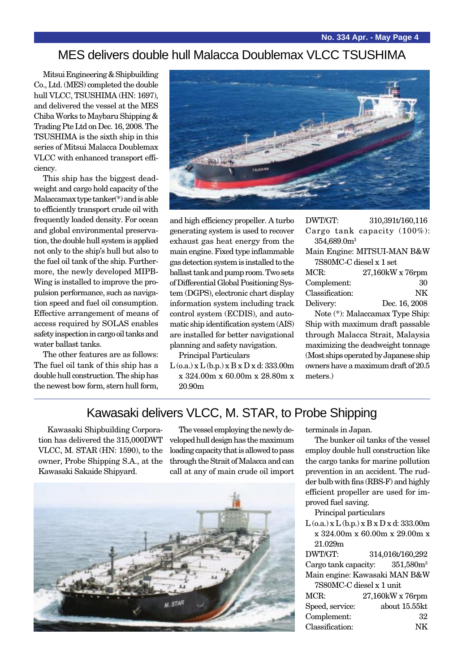### MES delivers double hull Malacca Doublemax VLCC TSUSHIMA

Mitsui Engineering & Shipbuilding Co., Ltd. (MES) completed the double hull VLCC, TSUSHIMA (HN: 1697), and delivered the vessel at the MES Chiba Works to Maybaru Shipping & Trading Pte Ltd on Dec. 16, 2008. The TSUSHIMA is the sixth ship in this series of Mitsui Malacca Doublemax VLCC with enhanced transport efficiency.

This ship has the biggest deadweight and cargo hold capacity of the Malaccamax type tanker(\*) and is able to efficiently transport crude oil with frequently loaded density. For ocean and global environmental preservation, the double hull system is applied not only to the ship's hull but also to the fuel oil tank of the ship. Furthermore, the newly developed MIPB-Wing is installed to improve the propulsion performance, such as navigation speed and fuel oil consumption. Effective arrangement of means of access required by SOLAS enables safety inspection in cargo oil tanks and water ballast tanks.

The other features are as follows: The fuel oil tank of this ship has a double hull construction. The ship has the newest bow form, stern hull form,



and high efficiency propeller. A turbo generating system is used to recover exhaust gas heat energy from the main engine. Fixed type inflammable gas detection system is installed to the ballast tank and pump room. Two sets of Differential Global Positioning System (DGPS), electronic chart display information system including track control system (ECDIS), and automatic ship identification system (AIS) are installed for better navigational planning and safety navigation.

Principal Particulars

 $L$  (o.a.) x  $L$  (b.p.) x  $B$  x  $D$  x d: 333.00m x 324.00m x 60.00m x 28.80m x 20.90m

| DWT/GT: |                         |                                 | 310,391t/160,116 |
|---------|-------------------------|---------------------------------|------------------|
|         |                         | Cargo tank capacity $(100\%)$ : |                  |
|         | 354,689.0m <sup>3</sup> |                                 |                  |
|         |                         |                                 |                  |

| Main Engine: MITSUI-MAN B&W |  |
|-----------------------------|--|
| 7S80MC-C diesel x 1 set     |  |

| MCR:            | 27,160kW x 76rpm |
|-----------------|------------------|
| Complement:     | 30               |
| Classification: | NK.              |
| Delivery:       | Dec. 16, 2008    |

Note (\*): Malaccamax Type Ship: Ship with maximum draft passable through Malacca Strait, Malaysia maximizing the deadweight tonnage (Most ships operated by Japanese ship owners have a maximum draft of 20.5 meters.)

### Kawasaki delivers VLCC, M. STAR, to Probe Shipping

Kawasaki Shipbuilding Corporation has delivered the 315,000DWT VLCC, M. STAR (HN: 1590), to the owner, Probe Shipping S.A., at the Kawasaki Sakaide Shipyard.

The vessel employing the newly developed hull design has the maximum loading capacity that is allowed to pass through the Strait of Malacca and can call at any of main crude oil import



terminals in Japan.

The bunker oil tanks of the vessel employ double hull construction like the cargo tanks for marine pollution prevention in an accident. The rudder bulb with fins (RBS-F) and highly efficient propeller are used for improved fuel saving.

Principal particulars

 $L$  (o.a.) x  $L$  (b.p.) x  $B$  x  $D$  x d: 333.00m x 324.00m x 60.00m x 29.00m x 21.029m

DWT/GT: 314,016t/160,292 Cargo tank capacity:  $351,580m<sup>3</sup>$ Main engine: Kawasaki MAN B&W 7S80MC-C diesel x 1 unit MCR: 27.160kW x 76rpm Speed, service: about 15.55kt

Complement: 32 Classification: NK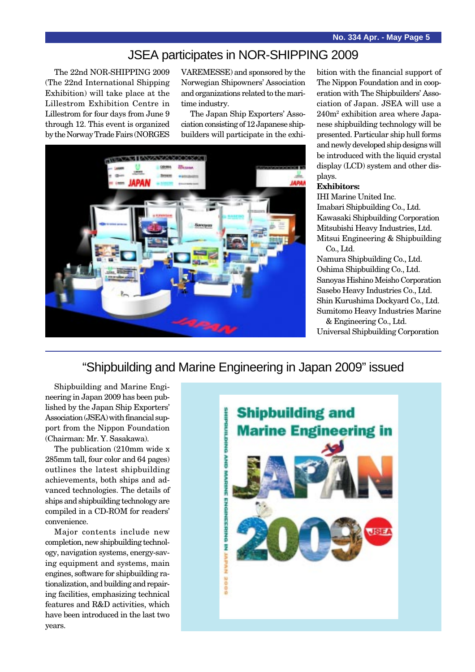### JSEA participates in NOR-SHIPPING 2009

The 22nd NOR-SHIPPING 2009 (The 22nd International Shipping Exhibition) will take place at the Lillestrom Exhibition Centre in Lillestrom for four days from June 9 through 12. This event is organized by the Norway Trade Fairs (NORGES

VAREMESSE) and sponsored by the Norwegian Shipowners' Association and organizations related to the maritime industry.

The Japan Ship Exporters' Association consisting of 12 Japanese shipbuilders will participate in the exhi-



bition with the financial support of The Nippon Foundation and in cooperation with The Shipbuilders' Association of Japan. JSEA will use a 240m2 exhibition area where Japanese shipbuilding technology will be presented. Particular ship hull forms and newly developed ship designs will be introduced with the liquid crystal display (LCD) system and other displays.

#### **Exhibitors:**

IHI Marine United Inc. Imabari Shipbuilding Co., Ltd. Kawasaki Shipbuilding Corporation Mitsubishi Heavy Industries, Ltd. Mitsui Engineering & Shipbuilding Co., Ltd.

Namura Shipbuilding Co., Ltd. Oshima Shipbuilding Co., Ltd. Sanoyas Hishino Meisho Corporation Sasebo Heavy Industries Co., Ltd. Shin Kurushima Dockyard Co., Ltd. Sumitomo Heavy Industries Marine

& Engineering Co., Ltd. Universal Shipbuilding Corporation

# "Shipbuilding and Marine Engineering in Japan 2009" issued

Shipbuilding and Marine Engineering in Japan 2009 has been published by the Japan Ship Exporters' Association (JSEA) with financial support from the Nippon Foundation (Chairman: Mr. Y. Sasakawa).

The publication (210mm wide x 285mm tall, four color and 64 pages) outlines the latest shipbuilding achievements, both ships and advanced technologies. The details of ships and shipbuilding technology are compiled in a CD-ROM for readers' convenience.

Major contents include new completion, new shipbuilding technology, navigation systems, energy-saving equipment and systems, main engines, software for shipbuilding rationalization, and building and repairing facilities, emphasizing technical features and R&D activities, which have been introduced in the last two years.